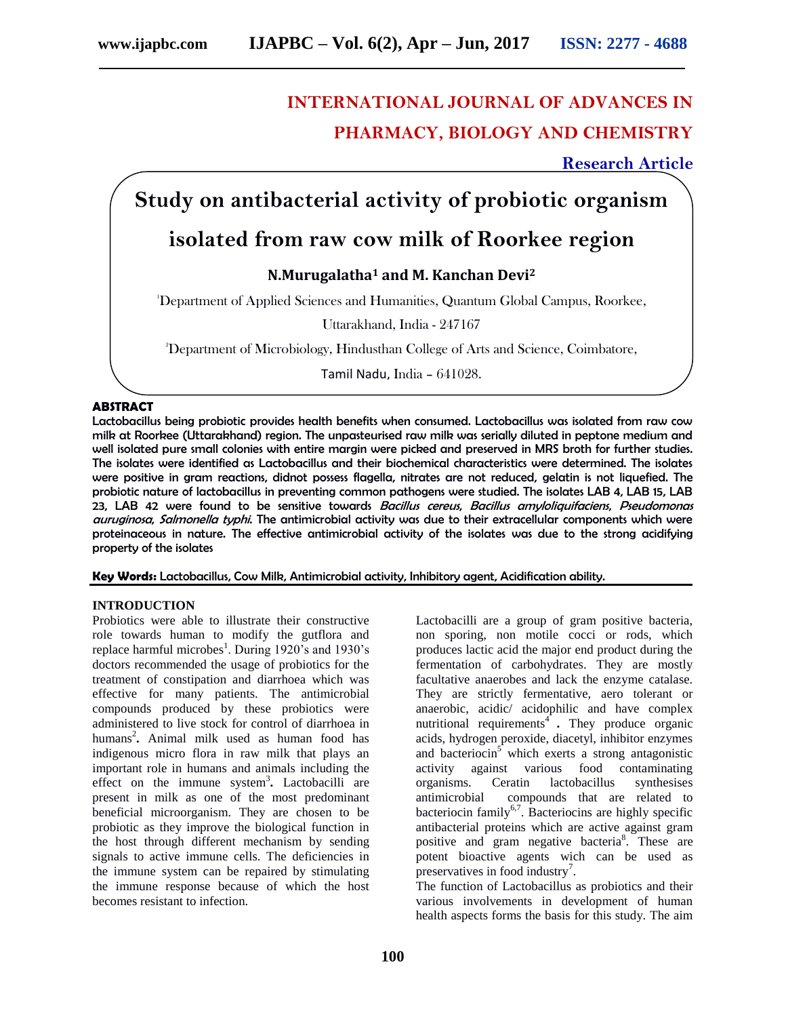# **INTERNATIONAL JOURNAL OF ADVANCES IN PHARMACY, BIOLOGY AND CHEMISTRY**

**Research Article**

## **Study on antibacterial activity of probiotic organism**

### **isolated from raw cow milk of Roorkee region**

### **N.Murugalatha<sup>1</sup> and M. Kanchan Devi<sup>2</sup>**

<sup>1</sup>Department of Applied Sciences and Humanities, Quantum Global Campus, Roorkee,

Uttarakhand, India - 247167

<sup>2</sup>Department of Microbiology, Hindusthan College of Arts and Science, Coimbatore,

Tamil Nadu, India – 641028.

#### **ABSTRACT**

Lactobacillus being probiotic provides health benefits when consumed. Lactobacillus was isolated from raw cow milk at Roorkee (Uttarakhand) region. The unpasteurised raw milk was serially diluted in peptone medium and well isolated pure small colonies with entire margin were picked and preserved in MRS broth for further studies. The isolates were identified as Lactobacillus and their biochemical characteristics were determined. The isolates were positive in gram reactions, didnot possess flagella, nitrates are not reduced, gelatin is not liquefied. The probiotic nature of lactobacillus in preventing common pathogens were studied. The isolates LAB 4, LAB 15, LAB 23, LAB 42 were found to be sensitive towards Bacillus cereus, Bacillus amyloliquifaciens, Pseudomonas auruginosa, Salmonella typhi. The antimicrobial activity was due to their extracellular components which were proteinaceous in nature. The effective antimicrobial activity of the isolates was due to the strong acidifying property of the isolates

**Key Words:** Lactobacillus, Cow Milk, Antimicrobial activity, Inhibitory agent, Acidification ability.

#### **INTRODUCTION**

Probiotics were able to illustrate their constructive role towards human to modify the gutflora and replace harmful microbes<sup>1</sup>. During 1920's and 1930's doctors recommended the usage of probiotics for the treatment of constipation and diarrhoea which was effective for many patients. The antimicrobial compounds produced by these probiotics were administered to live stock for control of diarrhoea in humans<sup>2</sup> **.** Animal milk used as human food has indigenous micro flora in raw milk that plays an important role in humans and animals including the effect on the immune system<sup>3</sup> **.** Lactobacilli are present in milk as one of the most predominant beneficial microorganism. They are chosen to be probiotic as they improve the biological function in the host through different mechanism by sending signals to active immune cells. The deficiencies in the immune system can be repaired by stimulating the immune response because of which the host becomes resistant to infection.

Lactobacilli are a group of gram positive bacteria, non sporing, non motile cocci or rods, which produces lactic acid the major end product during the fermentation of carbohydrates. They are mostly facultative anaerobes and lack the enzyme catalase. They are strictly fermentative, aero tolerant or anaerobic, acidic/ acidophilic and have complex nutritional requirements<sup>4</sup>. They produce organic acids, hydrogen peroxide, diacetyl, inhibitor enzymes and bacteriocin<sup>5</sup> which exerts a strong antagonistic activity against various food contaminating organisms. Ceratin lactobacillus synthesises antimicrobial compounds that are related to bacteriocin family<sup>6,7</sup>. Bacteriocins are highly specific antibacterial proteins which are active against gram positive and gram negative bacteria<sup>8</sup>. These are potent bioactive agents wich can be used as preservatives in food industry<sup>7</sup>.

The function of Lactobacillus as probiotics and their various involvements in development of human health aspects forms the basis for this study. The aim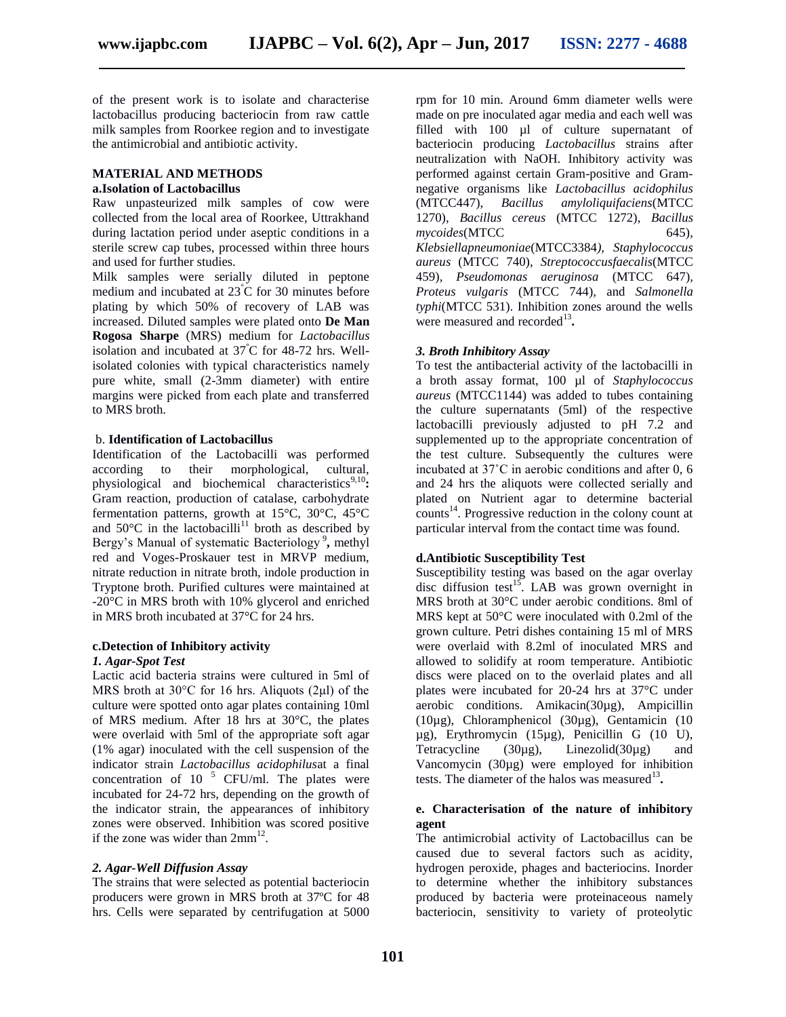of the present work is to isolate and characterise lactobacillus producing bacteriocin from raw cattle milk samples from Roorkee region and to investigate the antimicrobial and antibiotic activity.

#### **MATERIAL AND METHODS**

#### **a.Isolation of Lactobacillus**

Raw unpasteurized milk samples of cow were collected from the local area of Roorkee, Uttrakhand during lactation period under aseptic conditions in a sterile screw cap tubes, processed within three hours and used for further studies.

Milk samples were serially diluted in peptone medium and incubated at 23<sup>º</sup>C for 30 minutes before plating by which 50% of recovery of LAB was increased. Diluted samples were plated onto **De Man Rogosa Sharpe** (MRS) medium for *Lactobacillus* isolation and incubated at 37<sup>º</sup>C for 48-72 hrs. Wellisolated colonies with typical characteristics namely pure white, small (2-3mm diameter) with entire margins were picked from each plate and transferred to MRS broth.

#### b. **Identification of Lactobacillus**

Identification of the Lactobacilli was performed according to their morphological, cultural, physiological and biochemical characteristics<sup>9,10</sup>: Gram reaction, production of catalase, carbohydrate fermentation patterns, growth at 15°C, 30°C, 45°C and  $50^{\circ}$ C in the lactobacilli<sup>11</sup> broth as described by Bergy's Manual of systematic Bacteriology<sup>9</sup>, methyl red and Voges-Proskauer test in MRVP medium, nitrate reduction in nitrate broth, indole production in Tryptone broth. Purified cultures were maintained at -20°C in MRS broth with 10% glycerol and enriched in MRS broth incubated at 37°C for 24 hrs.

#### **c.Detection of Inhibitory activity**

#### *1. Agar-Spot Test*

Lactic acid bacteria strains were cultured in 5ml of MRS broth at 30°C for 16 hrs. Aliquots (2μl) of the culture were spotted onto agar plates containing 10ml of MRS medium. After 18 hrs at 30°C, the plates were overlaid with 5ml of the appropriate soft agar (1% agar) inoculated with the cell suspension of the indicator strain *Lactobacillus acidophilus*at a final concentration of 10  $^5$  CFU/ml. The plates were incubated for 24-72 hrs, depending on the growth of the indicator strain, the appearances of inhibitory zones were observed. Inhibition was scored positive if the zone was wider than  $2mm^{12}$ .

#### *2. Agar-Well Diffusion Assay*

The strains that were selected as potential bacteriocin producers were grown in MRS broth at 37ºC for 48 hrs. Cells were separated by centrifugation at 5000 rpm for 10 min. Around 6mm diameter wells were made on pre inoculated agar media and each well was filled with 100 µl of culture supernatant of bacteriocin producing *Lactobacillus* strains after neutralization with NaOH. Inhibitory activity was performed against certain Gram-positive and Gramnegative organisms like *Lactobacillus acidophilus*  (MTCC447), *Bacillus amyloliquifaciens*(MTCC 1270), *Bacillus cereus* (MTCC 1272), *Bacillus mycoides*(MTCC 645)*, Klebsiellapneumoniae*(MTCC3384*), Staphylococcus aureus* (MTCC 740), *Streptococcusfaecalis*(MTCC 459)*, Pseudomonas aeruginosa* (MTCC 647)*, Proteus vulgaris* (MTCC 744)*,* and *Salmonella typhi*(MTCC 531). Inhibition zones around the wells were measured and recorded<sup>13</sup>.

#### *3. Broth Inhibitory Assay*

To test the antibacterial activity of the lactobacilli in a broth assay format, 100 µl of *Staphylococcus aureus* (MTCC1144) was added to tubes containing the culture supernatants (5ml) of the respective lactobacilli previously adjusted to pH 7.2 and supplemented up to the appropriate concentration of the test culture. Subsequently the cultures were incubated at 37˚C in aerobic conditions and after 0, 6 and 24 hrs the aliquots were collected serially and plated on Nutrient agar to determine bacterial counts<sup>14</sup>. Progressive reduction in the colony count at particular interval from the contact time was found.

#### **d.Antibiotic Susceptibility Test**

Susceptibility testing was based on the agar overlay disc diffusion test<sup>15</sup>. LAB was grown overnight in MRS broth at 30°C under aerobic conditions. 8ml of MRS kept at 50°C were inoculated with 0.2ml of the grown culture. Petri dishes containing 15 ml of MRS were overlaid with 8.2ml of inoculated MRS and allowed to solidify at room temperature. Antibiotic discs were placed on to the overlaid plates and all plates were incubated for 20-24 hrs at 37°C under aerobic conditions. Amikacin(30µg), Ampicillin (10µg), Chloramphenicol (30µg), Gentamicin (10 µg), Erythromycin (15µg), Penicillin G (10 U), Tetracycline  $(30\mu g)$ , Linezolid $(30\mu g)$  and Vancomycin (30µg) were employed for inhibition tests. The diameter of the halos was measured<sup>13</sup>.

#### **e. Characterisation of the nature of inhibitory agent**

The antimicrobial activity of Lactobacillus can be caused due to several factors such as acidity, hydrogen peroxide, phages and bacteriocins. Inorder to determine whether the inhibitory substances produced by bacteria were proteinaceous namely bacteriocin, sensitivity to variety of proteolytic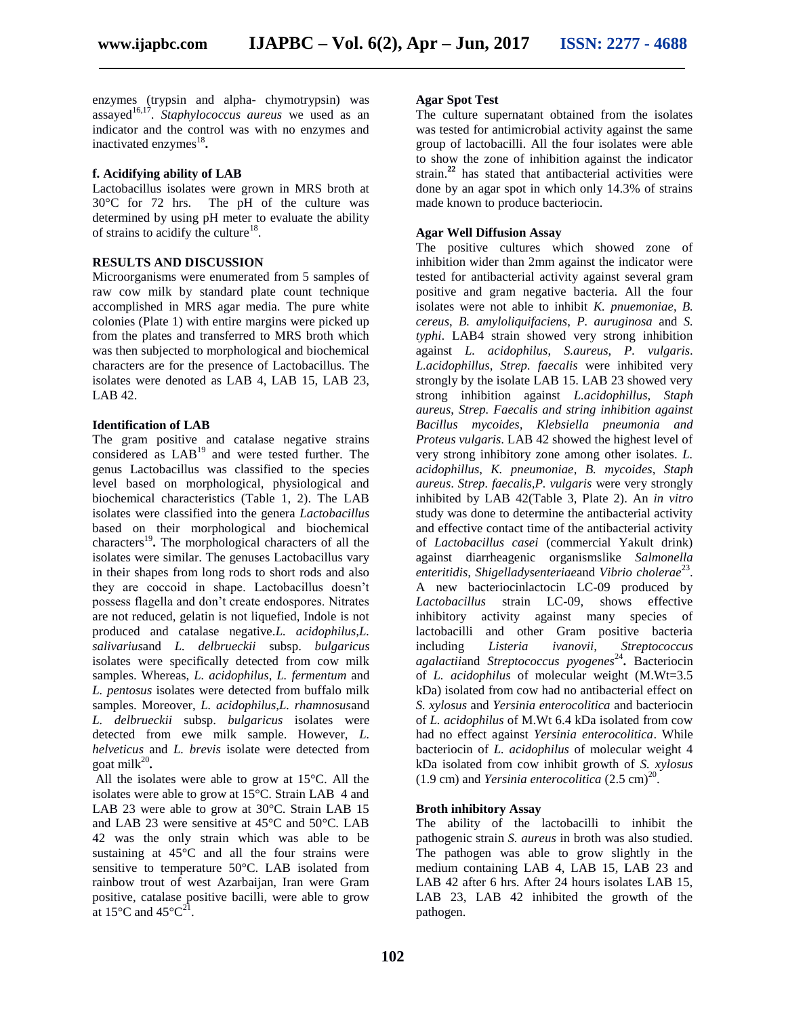enzymes (trypsin and alpha- chymotrypsin) was assayed<sup>16,17</sup>. *Staphylococcus aureus* we used as an indicator and the control was with no enzymes and inactivated enzymes<sup>18</sup>.

#### **f. Acidifying ability of LAB**

Lactobacillus isolates were grown in MRS broth at 30°C for 72 hrs. The pH of the culture was determined by using pH meter to evaluate the ability of strains to acidify the culture<sup>18</sup>.

#### **RESULTS AND DISCUSSION**

Microorganisms were enumerated from 5 samples of raw cow milk by standard plate count technique accomplished in MRS agar media. The pure white colonies (Plate 1) with entire margins were picked up from the plates and transferred to MRS broth which was then subjected to morphological and biochemical characters are for the presence of Lactobacillus. The isolates were denoted as LAB 4, LAB 15, LAB 23, LAB 42.

#### **Identification of LAB**

The gram positive and catalase negative strains considered as LAB<sup>19</sup> and were tested further. The genus Lactobacillus was classified to the species level based on morphological, physiological and biochemical characteristics (Table 1, 2). The LAB isolates were classified into the genera *Lactobacillus* based on their morphological and biochemical characters<sup>19</sup>. The morphological characters of all the isolates were similar. The genuses Lactobacillus vary in their shapes from long rods to short rods and also they are coccoid in shape. Lactobacillus doesn't possess flagella and don't create endospores. Nitrates are not reduced, gelatin is not liquefied, Indole is not produced and catalase negative.*L. acidophilus,L. salivarius*and *L. delbrueckii* subsp. *bulgaricus* isolates were specifically detected from cow milk samples. Whereas, *L. acidophilus*, *L. fermentum* and *L. pentosus* isolates were detected from buffalo milk samples. Moreover, *L. acidophilus,L. rhamnosus*and *L. delbrueckii* subsp. *bulgaricus* isolates were detected from ewe milk sample. However, *L. helveticus* and *L. brevis* isolate were detected from goat milk<sup>20</sup>.

All the isolates were able to grow at 15°C. All the isolates were able to grow at 15°C. Strain LAB 4 and LAB 23 were able to grow at 30°C. Strain LAB 15 and LAB 23 were sensitive at 45°C and 50°C. LAB 42 was the only strain which was able to be sustaining at 45°C and all the four strains were sensitive to temperature 50°C. LAB isolated from rainbow trout of west Azarbaijan, Iran were Gram positive, catalase positive bacilli, were able to grow at 15 $^{\circ}$ C and 45 $^{\circ}$ C<sup>21</sup>.

#### **Agar Spot Test**

The culture supernatant obtained from the isolates was tested for antimicrobial activity against the same group of lactobacilli. All the four isolates were able to show the zone of inhibition against the indicator strain.**<sup>22</sup>** has stated that antibacterial activities were done by an agar spot in which only 14.3% of strains made known to produce bacteriocin.

#### **Agar Well Diffusion Assay**

The positive cultures which showed zone of inhibition wider than 2mm against the indicator were tested for antibacterial activity against several gram positive and gram negative bacteria. All the four isolates were not able to inhibit *K. pnuemoniae*, *B. cereus*, *B. amyloliquifaciens*, *P. auruginosa* and *S. typhi*. LAB4 strain showed very strong inhibition against *L. acidophilus*, *S.aureus*, *P. vulgaris*. *L.acidophillus*, *Strep. faecalis* were inhibited very strongly by the isolate LAB 15. LAB 23 showed very strong inhibition against *L.acidophillus*, *Staph aureus*, *Strep. Faecalis and string inhibition against Bacillus mycoides, Klebsiella pneumonia and Proteus vulgaris*. LAB 42 showed the highest level of very strong inhibitory zone among other isolates. *L. acidophillus*, *K. pneumoniae*, *B. mycoides*, *Staph aureus*. *Strep. faecalis,P. vulgaris* were very strongly inhibited by LAB 42(Table 3, Plate 2). An *in vitro* study was done to determine the antibacterial activity and effective contact time of the antibacterial activity of *Lactobacillus casei* (commercial Yakult drink) against diarrheagenic organismslike *Salmonella*  enteritidis, Shigelladysenteriae and Vibrio cholerae<sup>23</sup>. A new bacteriocinlactocin LC-09 produced by *Lactobacillus* strain LC-09, shows effective inhibitory activity against many species of lactobacilli and other Gram positive bacteria including *Listeria ivanovii, Streptococcus agalactii*and *Streptococcus pyogenes*<sup>24</sup> **.** Bacteriocin of *L. acidophilus* of molecular weight (M.Wt=3.5 kDa) isolated from cow had no antibacterial effect on *S. xylosus* and *Yersinia enterocolitica* and bacteriocin of *L. acidophilus* of M.Wt 6.4 kDa isolated from cow had no effect against *Yersinia enterocolitica*. While bacteriocin of *L. acidophilus* of molecular weight 4 kDa isolated from cow inhibit growth of *S. xylosus*  $(1.9 \text{ cm})$  and *Yersinia enterocolitica*  $(2.5 \text{ cm})^{20}$ .

#### **Broth inhibitory Assay**

The ability of the lactobacilli to inhibit the pathogenic strain *S. aureus* in broth was also studied. The pathogen was able to grow slightly in the medium containing LAB 4, LAB 15, LAB 23 and LAB 42 after 6 hrs. After 24 hours isolates LAB 15, LAB 23, LAB 42 inhibited the growth of the pathogen.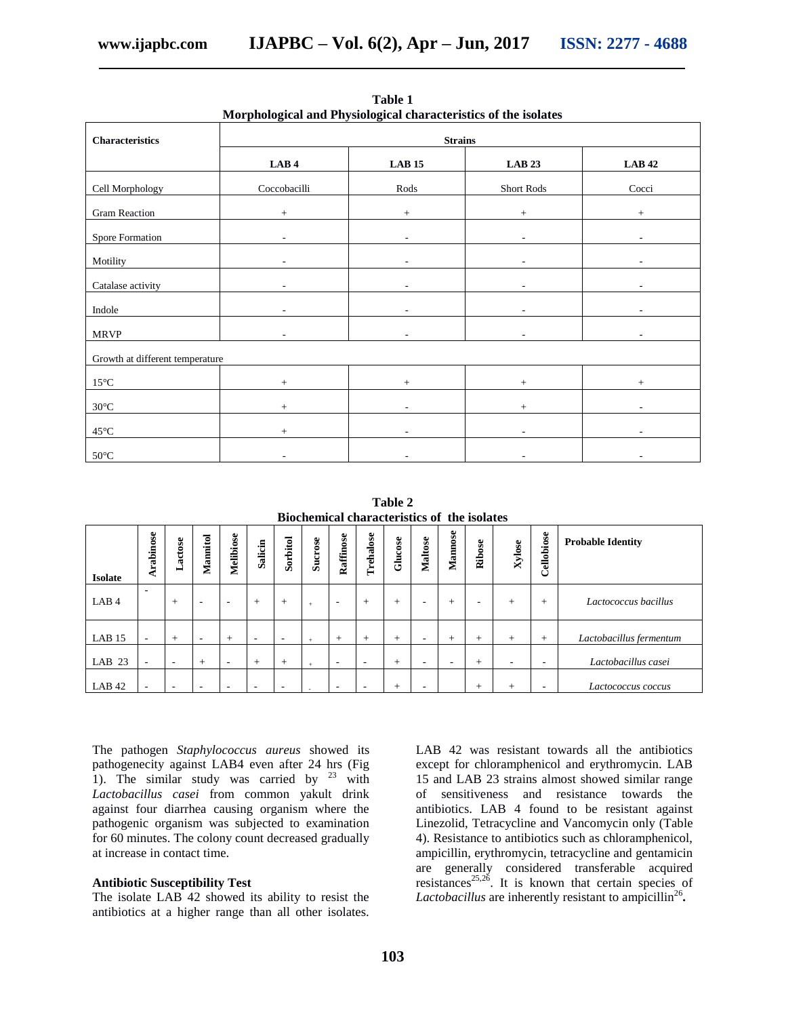| <u><b>HO photogical and I hysiological characteristics of the isolates</b></u> |                          |                          |                          |                          |  |  |  |  |
|--------------------------------------------------------------------------------|--------------------------|--------------------------|--------------------------|--------------------------|--|--|--|--|
| Characteristics                                                                | <b>Strains</b>           |                          |                          |                          |  |  |  |  |
|                                                                                | LAB4                     | <b>LAB 15</b>            | <b>LAB 23</b>            | <b>LAB 42</b>            |  |  |  |  |
| Cell Morphology                                                                | Coccobacilli             | Rods                     | Short Rods               | Cocci                    |  |  |  |  |
| Gram Reaction                                                                  | $+$                      | $+$                      | $+$                      | $+$                      |  |  |  |  |
| Spore Formation                                                                | $\overline{\phantom{a}}$ | $\overline{\phantom{a}}$ | $\overline{\phantom{a}}$ | $\overline{\phantom{a}}$ |  |  |  |  |
| Motility                                                                       |                          |                          | $\overline{\phantom{a}}$ |                          |  |  |  |  |
| Catalase activity                                                              | ٠                        | ٠                        | $\overline{\phantom{a}}$ |                          |  |  |  |  |
| Indole                                                                         | $\overline{\phantom{a}}$ | $\overline{\phantom{a}}$ | ٠                        |                          |  |  |  |  |
| <b>MRVP</b>                                                                    | $\overline{\phantom{a}}$ | $\sim$                   | $\sim$                   | $\overline{\phantom{a}}$ |  |  |  |  |
| Growth at different temperature                                                |                          |                          |                          |                          |  |  |  |  |
| $15^{\circ}$ C                                                                 | $+$                      | $+$                      | $+$                      | $\! +$                   |  |  |  |  |
| $30^{\circ}$ C                                                                 | $+$                      | ÷,                       | $+$                      | ٠                        |  |  |  |  |
| $45^{\circ}$ C                                                                 | $+$                      | $\sim$                   | $\sim$                   | $\overline{\phantom{a}}$ |  |  |  |  |
| $50^{\circ}$ C                                                                 | $\overline{\phantom{a}}$ | ٠                        | ۰.                       | ٠                        |  |  |  |  |

**Table 1 Morphological and Physiological characteristics of the isolates**

**Table 2 Biochemical characteristics of the isolates**

|                   |                          |                          |          |                          |         |                          |                |                          |                          |         |                | Diventifical characteristics of the isolates |        |        |                          |                          |
|-------------------|--------------------------|--------------------------|----------|--------------------------|---------|--------------------------|----------------|--------------------------|--------------------------|---------|----------------|----------------------------------------------|--------|--------|--------------------------|--------------------------|
| <b>Isolate</b>    | rabinose                 | Lactose                  | Mannitol | Melibiose                | Salicin | Sorbitol                 | <b>Sucrose</b> | Raffinose                | Trehalose                | Glucose | <b>Maltose</b> | Mannose                                      | Ribose | Xylose | Cellobiose               | <b>Probable Identity</b> |
| LAB <sub>4</sub>  | ۰                        | $^{+}$                   | ۰        | $\overline{\phantom{a}}$ | $^{+}$  | $+$                      | $\ddot{}$      | $\overline{\phantom{0}}$ | $+$                      | $^{+}$  | ۰              | $^{+}$                                       | ۰      | $+$    | $^{+}$                   | Lactococcus bacillus     |
| LAB 15            | $\sim$                   | $^{+}$                   | ۰        | $+$                      | ۰       | $\overline{\phantom{a}}$ |                | $+$                      | $+$                      | $^{+}$  | ۰              | $^{+}$                                       | $^{+}$ | $+$    | $+$                      | Lactobacillus fermentum  |
| LAB <sub>23</sub> | $\sim$                   | $\overline{\phantom{0}}$ | $+$      | $\overline{\phantom{a}}$ | $+$     | $+$                      |                | $\overline{\phantom{a}}$ | $\sim$                   | $^{+}$  | ۰              | $\overline{\phantom{a}}$                     | $^{+}$ | ۰      | $\overline{\phantom{a}}$ | Lactobacillus casei      |
| LAB <sub>42</sub> | $\overline{\phantom{a}}$ | $\overline{\phantom{a}}$ | ۰        | $\overline{\phantom{a}}$ | ۰       | $\overline{\phantom{a}}$ |                | $\overline{\phantom{a}}$ | $\overline{\phantom{a}}$ | $^{+}$  | ۰              |                                              | $^{+}$ | $^{+}$ | $\overline{\phantom{a}}$ | Lactococcus coccus       |

The pathogen *Staphylococcus aureus* showed its pathogenecity against LAB4 even after 24 hrs (Fig 1). The similar study was carried by  $23$  with *Lactobacillus casei* from common yakult drink against four diarrhea causing organism where the pathogenic organism was subjected to examination for 60 minutes. The colony count decreased gradually at increase in contact time.

#### **Antibiotic Susceptibility Test**

The isolate LAB 42 showed its ability to resist the antibiotics at a higher range than all other isolates.

LAB 42 was resistant towards all the antibiotics except for chloramphenicol and erythromycin. LAB 15 and LAB 23 strains almost showed similar range of sensitiveness and resistance towards the antibiotics. LAB 4 found to be resistant against Linezolid, Tetracycline and Vancomycin only (Table 4). Resistance to antibiotics such as chloramphenicol, ampicillin, erythromycin, tetracycline and gentamicin are generally considered transferable acquired resistances<sup>25,26</sup>. It is known that certain species of Lactobacillus are inherently resistant to ampicillin<sup>26</sup>.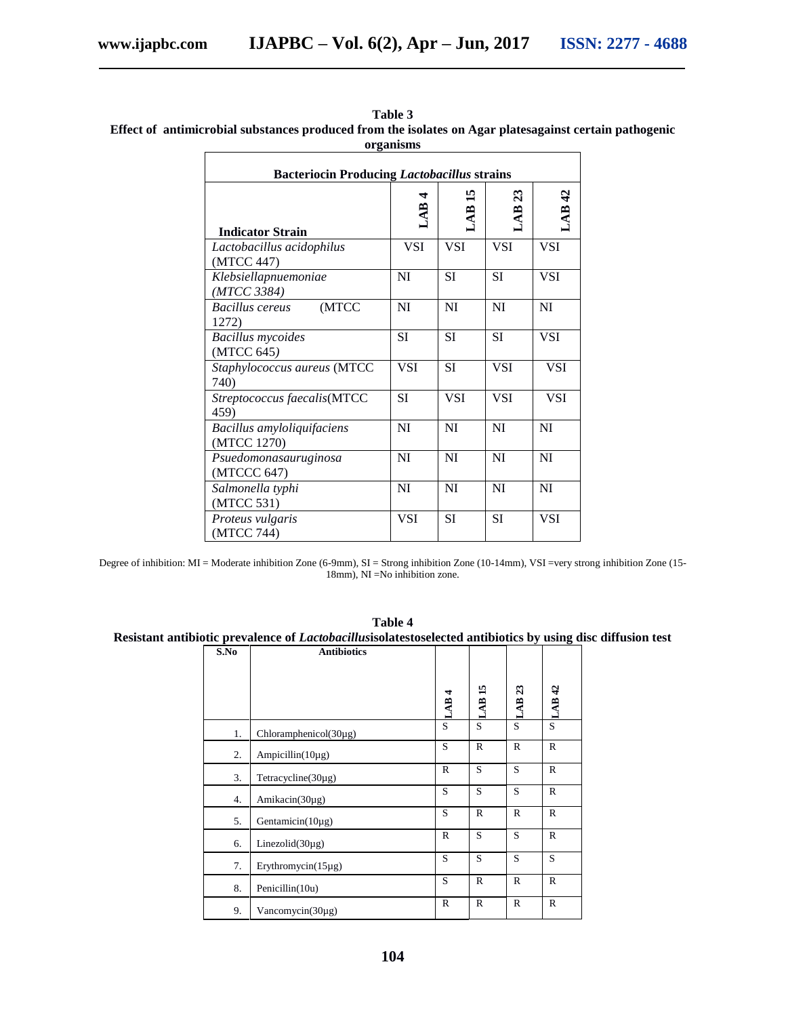$\overline{\Gamma}$ 

| <b>Bacteriocin Producing Lactobacillus strains</b> |            |            |                       |            |  |  |
|----------------------------------------------------|------------|------------|-----------------------|------------|--|--|
| <b>Indicator Strain</b>                            | 4<br>LAB.  | n<br>LAB   | $\mathfrak{z}$<br>LAB | LAB42      |  |  |
| Lactobacillus acidophilus<br>(MTCC 447)            | VSI        | <b>VSI</b> | <b>VSI</b>            | <b>VSI</b> |  |  |
| Klebsiellapnuemoniae<br>(MTCC 3384)                | NI         | SI         | SI                    | <b>VSI</b> |  |  |
| (MTCC<br>Bacillus cereus<br>1272)                  | NI         | NI         | NI                    | NI         |  |  |
| <b>Bacillus mycoides</b><br>(MTCC 645)             | SI         | SI         | SI                    | <b>VSI</b> |  |  |
| Staphylococcus aureus (MTCC<br>740)                | <b>VSI</b> | <b>SI</b>  | <b>VSI</b>            | <b>VSI</b> |  |  |
| Streptococcus faecalis(MTCC<br>459)                | <b>SI</b>  | <b>VSI</b> | <b>VSI</b>            | <b>VSI</b> |  |  |
| Bacillus amyloliquifaciens<br>(MTCC 1270)          | NI         | NI         | NI                    | NI         |  |  |
| Psuedomonasauruginosa<br>(MTCCC 647)               | NI         | NI         | NI                    | NI         |  |  |
| Salmonella typhi<br>(MTCC 531)                     | <b>NI</b>  | NI         | <b>NI</b>             | <b>NI</b>  |  |  |
| Proteus vulgaris<br>(MTCC 744)                     | <b>VSI</b> | <b>SI</b>  | <b>SI</b>             | <b>VSI</b> |  |  |

**Table 3 Effect of antimicrobial substances produced from the isolates on Agar platesagainst certain pathogenic organisms**

Degree of inhibition: MI = Moderate inhibition Zone (6-9mm), SI = Strong inhibition Zone (10-14mm), VSI =very strong inhibition Zone (15- 18mm), NI =No inhibition zone.

| Table 4                                                                                                            |  |
|--------------------------------------------------------------------------------------------------------------------|--|
| Resistant antibiotic prevalence of <i>Lactobacillusisolatestoselected antibiotics by using disc diffusion test</i> |  |

| S.No | <b>Antibiotics</b>        |                  |                   |                   |                   |
|------|---------------------------|------------------|-------------------|-------------------|-------------------|
|      |                           |                  |                   |                   |                   |
|      |                           |                  |                   |                   |                   |
|      |                           | LAB <sub>4</sub> | LAB <sub>15</sub> | LAB <sub>23</sub> | LAB <sub>42</sub> |
|      |                           |                  |                   |                   |                   |
| 1.   | $Chloramphenicol(30\mug)$ | S                | S                 | S                 | S                 |
| 2.   | Ampicillin( $10\mu$ g)    | S                | $\mathbb{R}$      | $\mathbb{R}$      | $\mathbb{R}$      |
| 3.   | Tetracycline(30µg)        | $\mathbb{R}$     | S                 | S                 | $\mathbb{R}$      |
| 4.   | Amikacin(30µg)            | S                | S                 | S                 | $\mathbb{R}$      |
| 5.   | Gentamicin(10µg)          | S                | $\mathbb{R}$      | $\mathbb{R}$      | $\mathbb{R}$      |
| 6.   | Linezolid $(30\mu g)$     | $\mathbb{R}$     | S                 | S                 | $\mathbb{R}$      |
| 7.   | Erythromycin(15µg)        | S                | S                 | S                 | S                 |
| 8.   | Penicillin(10u)           | S                | $\mathbb{R}$      | $\mathbb{R}$      | $\mathbb{R}$      |
| 9.   | Vancomycin( $30\mu$ g)    | $\mathbb{R}$     | $\mathbb{R}$      | $\mathbb{R}$      | $\mathbb{R}$      |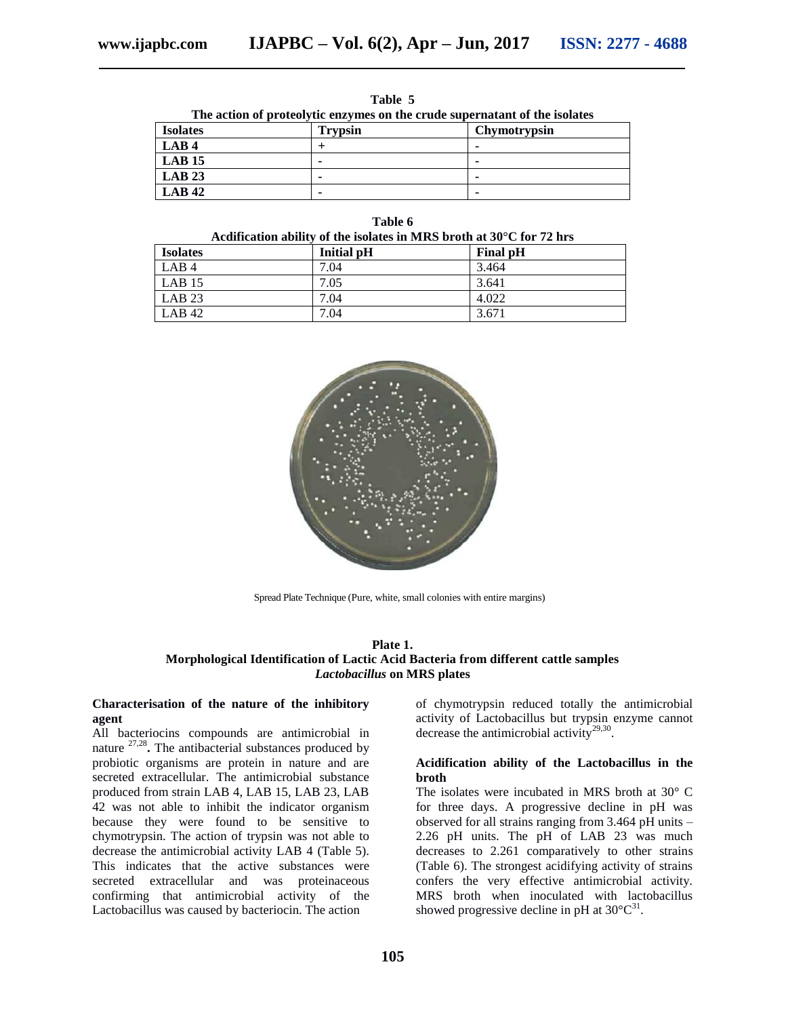**Table 5**

**The action of proteolytic enzymes on the crude supernatant of the isolates**

| <b>Isolates</b>  | <b>Trypsin</b>           | Chymotrypsin |
|------------------|--------------------------|--------------|
| LAB <sub>4</sub> |                          |              |
| LAB 15           | $\overline{\phantom{0}}$ |              |
| LAB 23           | ۰                        |              |
| $LAB$ 42         | ۰                        |              |

| חו<br>ν<br>н<br>υ |  |
|-------------------|--|
|-------------------|--|

| <b>Isolates</b>   | <b>Initial pH</b> | <b>Final pH</b> |
|-------------------|-------------------|-----------------|
| LAB <sub>4</sub>  | 7.04              | 3.464           |
| LAB <sub>15</sub> | 7.05              | 3.641           |
| LAB 23            | 7.04              | 4.022           |
| LAB 42            | 7.04              | 3.671           |



Spread Plate Technique (Pure, white, small colonies with entire margins)

#### **Plate 1. Morphological Identification of Lactic Acid Bacteria from different cattle samples** *Lactobacillus* **on MRS plates**

#### **Characterisation of the nature of the inhibitory agent**

All bacteriocins compounds are antimicrobial in nature <sup>27,28</sup>. The antibacterial substances produced by probiotic organisms are protein in nature and are secreted extracellular. The antimicrobial substance produced from strain LAB 4, LAB 15, LAB 23, LAB 42 was not able to inhibit the indicator organism because they were found to be sensitive to chymotrypsin. The action of trypsin was not able to decrease the antimicrobial activity LAB 4 (Table 5). This indicates that the active substances were secreted extracellular and was proteinaceous confirming that antimicrobial activity of the Lactobacillus was caused by bacteriocin. The action

of chymotrypsin reduced totally the antimicrobial activity of Lactobacillus but trypsin enzyme cannot decrease the antimicrobial activity<sup>29,30</sup>.

#### **Acidification ability of the Lactobacillus in the broth**

The isolates were incubated in MRS broth at 30° C for three days. A progressive decline in pH was observed for all strains ranging from 3.464 pH units – 2.26 pH units. The pH of LAB 23 was much decreases to 2.261 comparatively to other strains (Table 6). The strongest acidifying activity of strains confers the very effective antimicrobial activity. MRS broth when inoculated with lactobacillus showed progressive decline in pH at  $30^{\circ}C^{31}$ .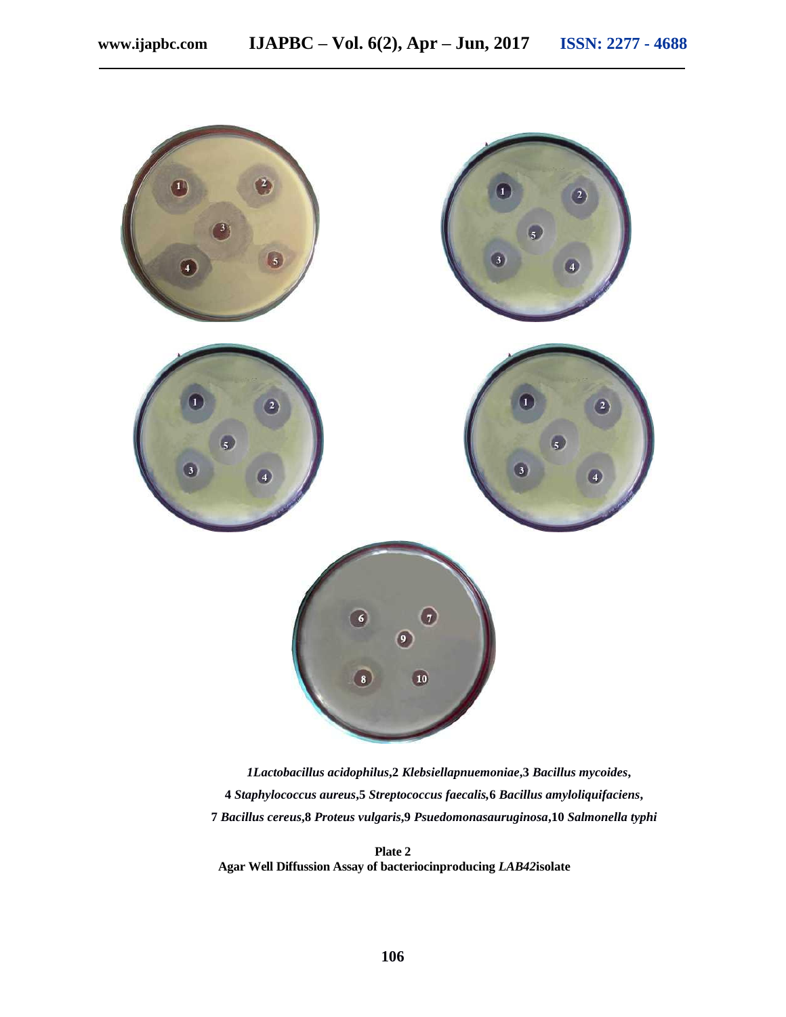

*1Lactobacillus acidophilus***,2** *Klebsiellapnuemoniae***,3** *Bacillus mycoides***, 4** *Staphylococcus aureus***,5** *Streptococcus faecalis,***6** *Bacillus amyloliquifaciens***, 7** *Bacillus cereus***,8** *Proteus vulgaris***,9** *Psuedomonasauruginosa***,10** *Salmonella typhi*

**Plate 2 Agar Well Diffussion Assay of bacteriocinproducing** *LAB42***isolate**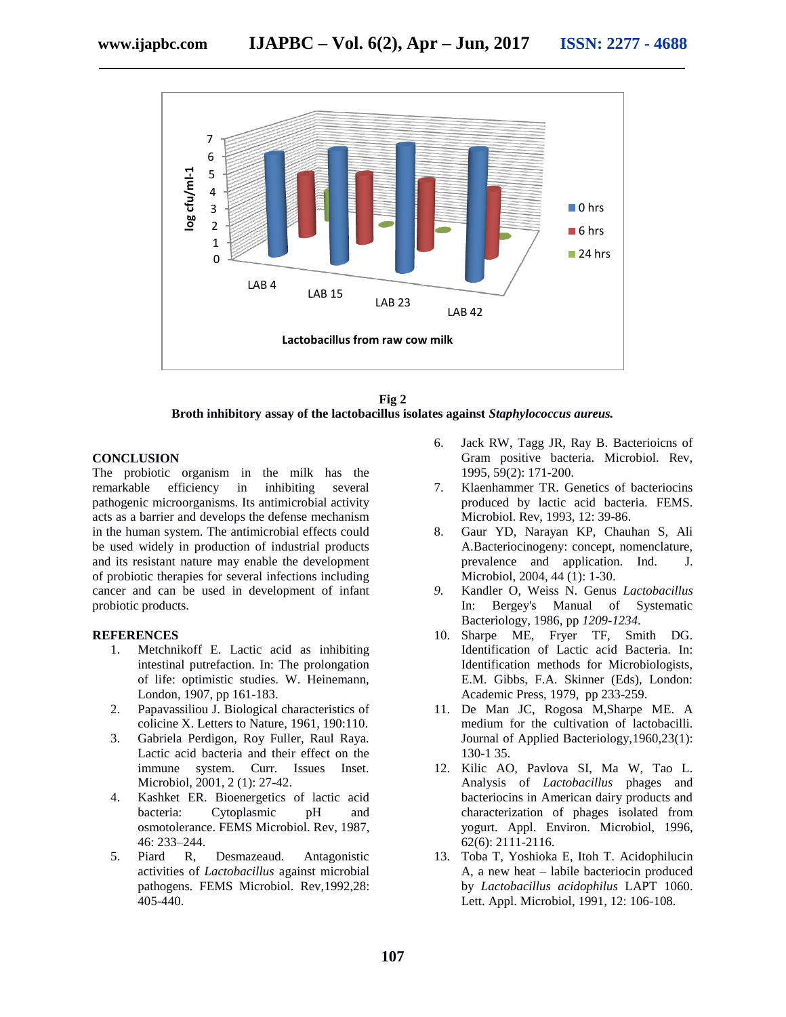

**Fig 2 Broth inhibitory assay of the lactobacillus isolates against** *Staphylococcus aureus.*

#### **CONCLUSION**

The probiotic organism in the milk has the remarkable efficiency in inhibiting several pathogenic microorganisms. Its antimicrobial activity acts as a barrier and develops the defense mechanism in the human system. The antimicrobial effects could be used widely in production of industrial products and its resistant nature may enable the development of probiotic therapies for several infections including cancer and can be used in development of infant probiotic products.

#### **REFERENCES**

- 1. Metchnikoff E. Lactic acid as inhibiting intestinal putrefaction. In: The prolongation of life: optimistic studies. W. Heinemann, London, 1907, pp 161-183.
- 2. Papavassiliou J. Biological characteristics of colicine X. Letters to Nature, 1961, 190:110.
- 3. Gabriela Perdigon, Roy Fuller, Raul Raya. Lactic acid bacteria and their effect on the immune system. Curr. Issues Inset. Microbiol, 2001, 2 (1): 27-42.
- 4. Kashket ER. Bioenergetics of lactic acid bacteria: Cytoplasmic pH and osmotolerance. FEMS Microbiol. Rev, 1987, 46: 233–244.
- 5. Piard R, Desmazeaud. Antagonistic activities of *Lactobacillus* against microbial pathogens*.* FEMS Microbiol. Rev,1992,28: 405-440.
- 6. Jack RW, Tagg JR, Ray B. Bacterioicns of Gram positive bacteria. Microbiol. Rev, 1995, 59(2): 171-200.
- 7. Klaenhammer TR. Genetics of bacteriocins produced by lactic acid bacteria. FEMS. Microbiol. Rev, 1993, 12: 39-86.
- 8. Gaur YD, Narayan KP, Chauhan S, Ali A.Bacteriocinogeny: concept, nomenclature, prevalence and application. Ind. J. Microbiol, 2004, 44 (1): 1-30.
- *9.* Kandler O, Weiss N. Genus *Lactobacillus*  In: Bergey's Manual of Systematic Bacteriology, 1986, pp *1209-1234.*
- 10. Sharpe ME, Fryer TF, Smith DG. Identification of Lactic acid Bacteria. In: Identification methods for Microbiologists, E.M. Gibbs, F.A. Skinner (Eds), London: Academic Press, 1979, pp 233-259.
- 11. De Man JC, Rogosa M,Sharpe ME. A medium for the cultivation of lactobacilli. Journal of Applied Bacteriology,1960,23(1): 130-1 35.
- 12. Kilic AO, Pavlova SI, Ma W, Tao L. Analysis of *Lactobacillus* phages and bacteriocins in American dairy products and characterization of phages isolated from yogurt. Appl. Environ. Microbiol, 1996, 62(6): 2111-2116.
- 13. Toba T, Yoshioka E, Itoh T. Acidophilucin A, a new heat – labile bacteriocin produced by *Lactobacillus acidophilus* LAPT 1060. Lett. Appl. Microbiol, 1991, 12: 106-108.